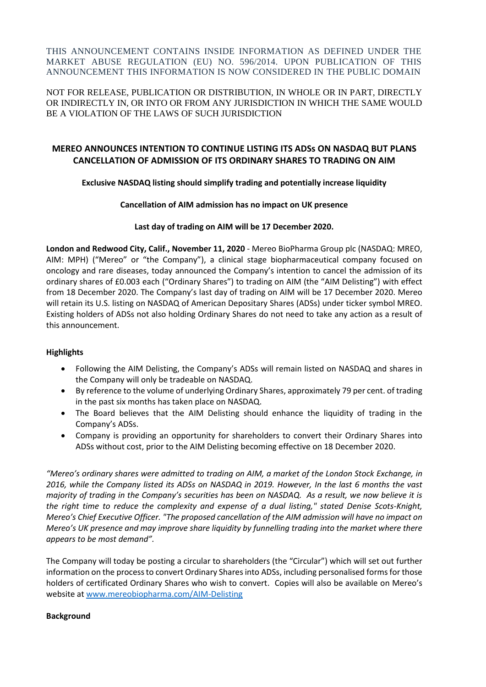THIS ANNOUNCEMENT CONTAINS INSIDE INFORMATION AS DEFINED UNDER THE MARKET ABUSE REGULATION (EU) NO. 596/2014. UPON PUBLICATION OF THIS ANNOUNCEMENT THIS INFORMATION IS NOW CONSIDERED IN THE PUBLIC DOMAIN

### NOT FOR RELEASE, PUBLICATION OR DISTRIBUTION, IN WHOLE OR IN PART, DIRECTLY OR INDIRECTLY IN, OR INTO OR FROM ANY JURISDICTION IN WHICH THE SAME WOULD BE A VIOLATION OF THE LAWS OF SUCH JURISDICTION

# **MEREO ANNOUNCES INTENTION TO CONTINUE LISTING ITS ADSs ON NASDAQ BUT PLANS CANCELLATION OF ADMISSION OF ITS ORDINARY SHARES TO TRADING ON AIM**

## **Exclusive NASDAQ listing should simplify trading and potentially increase liquidity**

## **Cancellation of AIM admission has no impact on UK presence**

## **Last day of trading on AIM will be 17 December 2020.**

**London and Redwood City, Calif., November 11, 2020** - Mereo BioPharma Group plc (NASDAQ: MREO, AIM: MPH) ("Mereo" or "the Company"), a clinical stage biopharmaceutical company focused on oncology and rare diseases, today announced the Company's intention to cancel the admission of its ordinary shares of £0.003 each ("Ordinary Shares") to trading on AIM (the "AIM Delisting") with effect from 18 December 2020. The Company's last day of trading on AIM will be 17 December 2020. Mereo will retain its U.S. listing on NASDAQ of American Depositary Shares (ADSs) under ticker symbol MREO. Existing holders of ADSs not also holding Ordinary Shares do not need to take any action as a result of this announcement.

## **Highlights**

- Following the AIM Delisting, the Company's ADSs will remain listed on NASDAQ and shares in the Company will only be tradeable on NASDAQ.
- By reference to the volume of underlying Ordinary Shares, approximately 79 per cent. of trading in the past six months has taken place on NASDAQ.
- The Board believes that the AIM Delisting should enhance the liquidity of trading in the Company's ADSs.
- Company is providing an opportunity for shareholders to convert their Ordinary Shares into ADSs without cost, prior to the AIM Delisting becoming effective on 18 December 2020.

*"Mereo's ordinary shares were admitted to trading on AIM, a market of the London Stock Exchange, in 2016, while the Company listed its ADSs on NASDAQ in 2019. However, In the last 6 months the vast majority of trading in the Company's securities has been on NASDAQ. As a result, we now believe it is the right time to reduce the complexity and expense of a dual listing," stated Denise Scots-Knight, Mereo's Chief Executive Officer. "The proposed cancellation of the AIM admission will have no impact on Mereo's UK presence and may improve share liquidity by funnelling trading into the market where there appears to be most demand".*

The Company will today be posting a circular to shareholders (the "Circular") which will set out further information on the process to convert Ordinary Shares into ADSs, including personalised forms for those holders of certificated Ordinary Shares who wish to convert. Copies will also be available on Mereo's website a[t www.mereobiopharma.com/AIM-Delisting](http://www.mereobiopharma.com/AIM-Delisting)

## **Background**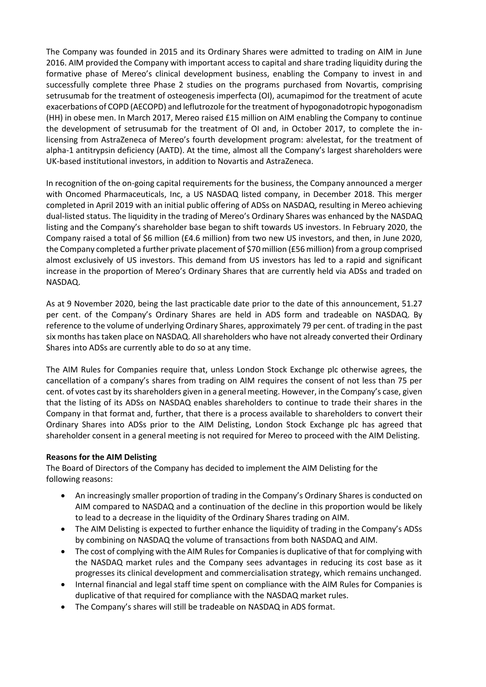The Company was founded in 2015 and its Ordinary Shares were admitted to trading on AIM in June 2016. AIM provided the Company with important access to capital and share trading liquidity during the formative phase of Mereo's clinical development business, enabling the Company to invest in and successfully complete three Phase 2 studies on the programs purchased from Novartis, comprising setrusumab for the treatment of osteogenesis imperfecta (OI), acumapimod for the treatment of acute exacerbations of COPD (AECOPD) and leflutrozole for the treatment of hypogonadotropic hypogonadism (HH) in obese men. In March 2017, Mereo raised £15 million on AIM enabling the Company to continue the development of setrusumab for the treatment of OI and, in October 2017, to complete the inlicensing from AstraZeneca of Mereo's fourth development program: alvelestat, for the treatment of alpha-1 antitrypsin deficiency (AATD). At the time, almost all the Company's largest shareholders were UK-based institutional investors, in addition to Novartis and AstraZeneca.

In recognition of the on-going capital requirements for the business, the Company announced a merger with Oncomed Pharmaceuticals, Inc, a US NASDAQ listed company, in December 2018. This merger completed in April 2019 with an initial public offering of ADSs on NASDAQ, resulting in Mereo achieving dual-listed status. The liquidity in the trading of Mereo's Ordinary Shares was enhanced by the NASDAQ listing and the Company's shareholder base began to shift towards US investors. In February 2020, the Company raised a total of \$6 million (£4.6 million) from two new US investors, and then, in June 2020, the Company completed a further private placement of \$70 million (£56 million) from a group comprised almost exclusively of US investors. This demand from US investors has led to a rapid and significant increase in the proportion of Mereo's Ordinary Shares that are currently held via ADSs and traded on NASDAQ.

As at 9 November 2020, being the last practicable date prior to the date of this announcement, 51.27 per cent. of the Company's Ordinary Shares are held in ADS form and tradeable on NASDAQ. By reference to the volume of underlying Ordinary Shares, approximately 79 per cent. of trading in the past six months has taken place on NASDAQ. All shareholders who have not already converted their Ordinary Shares into ADSs are currently able to do so at any time.

The AIM Rules for Companies require that, unless London Stock Exchange plc otherwise agrees, the cancellation of a company's shares from trading on AIM requires the consent of not less than 75 per cent. of votes cast by its shareholders given in a general meeting. However, in the Company's case, given that the listing of its ADSs on NASDAQ enables shareholders to continue to trade their shares in the Company in that format and, further, that there is a process available to shareholders to convert their Ordinary Shares into ADSs prior to the AIM Delisting, London Stock Exchange plc has agreed that shareholder consent in a general meeting is not required for Mereo to proceed with the AIM Delisting.

## **Reasons for the AIM Delisting**

The Board of Directors of the Company has decided to implement the AIM Delisting for the following reasons:

- An increasingly smaller proportion of trading in the Company's Ordinary Shares is conducted on AIM compared to NASDAQ and a continuation of the decline in this proportion would be likely to lead to a decrease in the liquidity of the Ordinary Shares trading on AIM.
- The AIM Delisting is expected to further enhance the liquidity of trading in the Company's ADSs by combining on NASDAQ the volume of transactions from both NASDAQ and AIM.
- The cost of complying with the AIM Rules for Companies is duplicative of that for complying with the NASDAQ market rules and the Company sees advantages in reducing its cost base as it progresses its clinical development and commercialisation strategy, which remains unchanged.
- Internal financial and legal staff time spent on compliance with the AIM Rules for Companies is duplicative of that required for compliance with the NASDAQ market rules.
- The Company's shares will still be tradeable on NASDAQ in ADS format.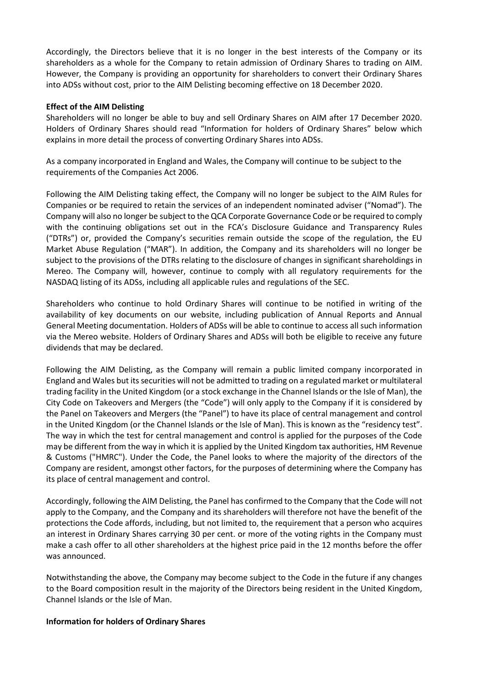Accordingly, the Directors believe that it is no longer in the best interests of the Company or its shareholders as a whole for the Company to retain admission of Ordinary Shares to trading on AIM. However, the Company is providing an opportunity for shareholders to convert their Ordinary Shares into ADSs without cost, prior to the AIM Delisting becoming effective on 18 December 2020.

#### **Effect of the AIM Delisting**

Shareholders will no longer be able to buy and sell Ordinary Shares on AIM after 17 December 2020. Holders of Ordinary Shares should read "Information for holders of Ordinary Shares" below which explains in more detail the process of converting Ordinary Shares into ADSs.

As a company incorporated in England and Wales, the Company will continue to be subject to the requirements of the Companies Act 2006.

Following the AIM Delisting taking effect, the Company will no longer be subject to the AIM Rules for Companies or be required to retain the services of an independent nominated adviser ("Nomad"). The Company will also no longer be subject to the QCA Corporate Governance Code or be required to comply with the continuing obligations set out in the FCA's Disclosure Guidance and Transparency Rules ("DTRs") or, provided the Company's securities remain outside the scope of the regulation, the EU Market Abuse Regulation ("MAR"). In addition, the Company and its shareholders will no longer be subject to the provisions of the DTRs relating to the disclosure of changes in significant shareholdings in Mereo. The Company will, however, continue to comply with all regulatory requirements for the NASDAQ listing of its ADSs, including all applicable rules and regulations of the SEC.

Shareholders who continue to hold Ordinary Shares will continue to be notified in writing of the availability of key documents on our website, including publication of Annual Reports and Annual General Meeting documentation. Holders of ADSs will be able to continue to access all such information via the Mereo website. Holders of Ordinary Shares and ADSs will both be eligible to receive any future dividends that may be declared.

Following the AIM Delisting, as the Company will remain a public limited company incorporated in England and Wales but its securities will not be admitted to trading on a regulated market or multilateral trading facility in the United Kingdom (or a stock exchange in the Channel Islands or the Isle of Man), the City Code on Takeovers and Mergers (the "Code") will only apply to the Company if it is considered by the Panel on Takeovers and Mergers (the "Panel") to have its place of central management and control in the United Kingdom (or the Channel Islands or the Isle of Man). This is known as the "residency test". The way in which the test for central management and control is applied for the purposes of the Code may be different from the way in which it is applied by the United Kingdom tax authorities, HM Revenue & Customs ("HMRC"). Under the Code, the Panel looks to where the majority of the directors of the Company are resident, amongst other factors, for the purposes of determining where the Company has its place of central management and control.

Accordingly, following the AIM Delisting, the Panel has confirmed to the Company that the Code will not apply to the Company, and the Company and its shareholders will therefore not have the benefit of the protections the Code affords, including, but not limited to, the requirement that a person who acquires an interest in Ordinary Shares carrying 30 per cent. or more of the voting rights in the Company must make a cash offer to all other shareholders at the highest price paid in the 12 months before the offer was announced.

Notwithstanding the above, the Company may become subject to the Code in the future if any changes to the Board composition result in the majority of the Directors being resident in the United Kingdom, Channel Islands or the Isle of Man.

#### **Information for holders of Ordinary Shares**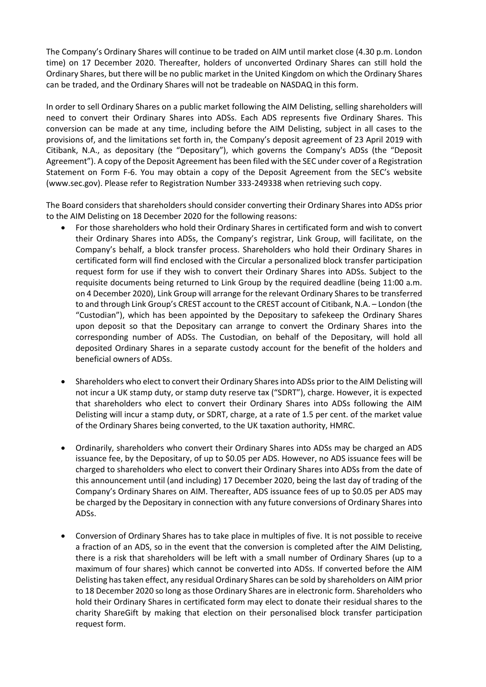The Company's Ordinary Shares will continue to be traded on AIM until market close (4.30 p.m. London time) on 17 December 2020. Thereafter, holders of unconverted Ordinary Shares can still hold the Ordinary Shares, but there will be no public market in the United Kingdom on which the Ordinary Shares can be traded, and the Ordinary Shares will not be tradeable on NASDAQ in this form.

In order to sell Ordinary Shares on a public market following the AIM Delisting, selling shareholders will need to convert their Ordinary Shares into ADSs. Each ADS represents five Ordinary Shares. This conversion can be made at any time, including before the AIM Delisting, subject in all cases to the provisions of, and the limitations set forth in, the Company's deposit agreement of 23 April 2019 with Citibank, N.A., as depositary (the "Depositary"), which governs the Company's ADSs (the "Deposit Agreement"). A copy of the Deposit Agreement has been filed with the SEC under cover of a Registration Statement on Form F-6. You may obtain a copy of the Deposit Agreement from the SEC's website (www.sec.gov). Please refer to Registration Number 333-249338 when retrieving such copy.

The Board considers that shareholders should consider converting their Ordinary Shares into ADSs prior to the AIM Delisting on 18 December 2020 for the following reasons:

- For those shareholders who hold their Ordinary Shares in certificated form and wish to convert their Ordinary Shares into ADSs, the Company's registrar, Link Group, will facilitate, on the Company's behalf, a block transfer process. Shareholders who hold their Ordinary Shares in certificated form will find enclosed with the Circular a personalized block transfer participation request form for use if they wish to convert their Ordinary Shares into ADSs. Subject to the requisite documents being returned to Link Group by the required deadline (being 11:00 a.m. on 4 December 2020), Link Group will arrange for the relevant Ordinary Shares to be transferred to and through Link Group's CREST account to the CREST account of Citibank, N.A. – London (the "Custodian"), which has been appointed by the Depositary to safekeep the Ordinary Shares upon deposit so that the Depositary can arrange to convert the Ordinary Shares into the corresponding number of ADSs. The Custodian, on behalf of the Depositary, will hold all deposited Ordinary Shares in a separate custody account for the benefit of the holders and beneficial owners of ADSs.
- Shareholders who elect to convert their Ordinary Shares into ADSs prior to the AIM Delisting will not incur a UK stamp duty, or stamp duty reserve tax ("SDRT"), charge. However, it is expected that shareholders who elect to convert their Ordinary Shares into ADSs following the AIM Delisting will incur a stamp duty, or SDRT, charge, at a rate of 1.5 per cent. of the market value of the Ordinary Shares being converted, to the UK taxation authority, HMRC.
- Ordinarily, shareholders who convert their Ordinary Shares into ADSs may be charged an ADS issuance fee, by the Depositary, of up to \$0.05 per ADS. However, no ADS issuance fees will be charged to shareholders who elect to convert their Ordinary Shares into ADSs from the date of this announcement until (and including) 17 December 2020, being the last day of trading of the Company's Ordinary Shares on AIM. Thereafter, ADS issuance fees of up to \$0.05 per ADS may be charged by the Depositary in connection with any future conversions of Ordinary Shares into ADSs.
- Conversion of Ordinary Shares has to take place in multiples of five. It is not possible to receive a fraction of an ADS, so in the event that the conversion is completed after the AIM Delisting, there is a risk that shareholders will be left with a small number of Ordinary Shares (up to a maximum of four shares) which cannot be converted into ADSs. If converted before the AIM Delisting has taken effect, any residual Ordinary Shares can be sold by shareholders on AIM prior to 18 December 2020 so long as those Ordinary Shares are in electronic form. Shareholders who hold their Ordinary Shares in certificated form may elect to donate their residual shares to the charity ShareGift by making that election on their personalised block transfer participation request form.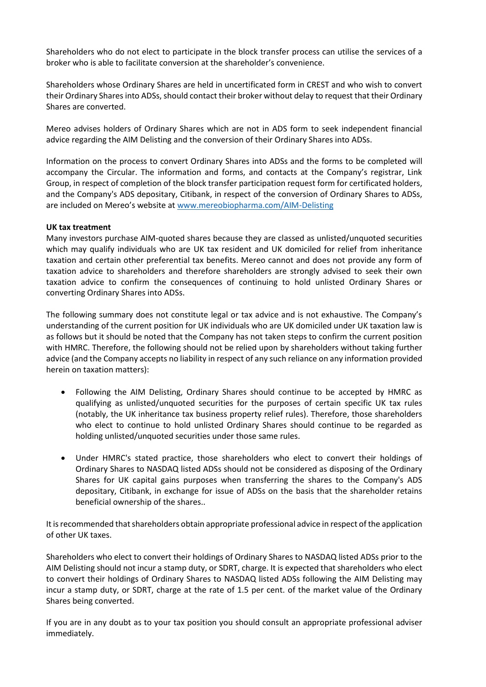Shareholders who do not elect to participate in the block transfer process can utilise the services of a broker who is able to facilitate conversion at the shareholder's convenience.

Shareholders whose Ordinary Shares are held in uncertificated form in CREST and who wish to convert their Ordinary Shares into ADSs, should contact their broker without delay to request that their Ordinary Shares are converted.

Mereo advises holders of Ordinary Shares which are not in ADS form to seek independent financial advice regarding the AIM Delisting and the conversion of their Ordinary Shares into ADSs.

Information on the process to convert Ordinary Shares into ADSs and the forms to be completed will accompany the Circular. The information and forms, and contacts at the Company's registrar, Link Group, in respect of completion of the block transfer participation request form for certificated holders, and the Company's ADS depositary, Citibank, in respect of the conversion of Ordinary Shares to ADSs, are included on Mereo's website at [www.mereobiopharma.com/AIM-Delisting](http://www.mereobiopharma.com/AIM-Delisting)

#### **UK tax treatment**

Many investors purchase AIM-quoted shares because they are classed as unlisted/unquoted securities which may qualify individuals who are UK tax resident and UK domiciled for relief from inheritance taxation and certain other preferential tax benefits. Mereo cannot and does not provide any form of taxation advice to shareholders and therefore shareholders are strongly advised to seek their own taxation advice to confirm the consequences of continuing to hold unlisted Ordinary Shares or converting Ordinary Shares into ADSs.

The following summary does not constitute legal or tax advice and is not exhaustive. The Company's understanding of the current position for UK individuals who are UK domiciled under UK taxation law is as follows but it should be noted that the Company has not taken steps to confirm the current position with HMRC. Therefore, the following should not be relied upon by shareholders without taking further advice (and the Company accepts no liability in respect of any such reliance on any information provided herein on taxation matters):

- Following the AIM Delisting, Ordinary Shares should continue to be accepted by HMRC as qualifying as unlisted/unquoted securities for the purposes of certain specific UK tax rules (notably, the UK inheritance tax business property relief rules). Therefore, those shareholders who elect to continue to hold unlisted Ordinary Shares should continue to be regarded as holding unlisted/unquoted securities under those same rules.
- Under HMRC's stated practice, those shareholders who elect to convert their holdings of Ordinary Shares to NASDAQ listed ADSs should not be considered as disposing of the Ordinary Shares for UK capital gains purposes when transferring the shares to the Company's ADS depositary, Citibank, in exchange for issue of ADSs on the basis that the shareholder retains beneficial ownership of the shares..

It is recommended that shareholders obtain appropriate professional advice in respect of the application of other UK taxes.

Shareholders who elect to convert their holdings of Ordinary Shares to NASDAQ listed ADSs prior to the AIM Delisting should not incur a stamp duty, or SDRT, charge. It is expected that shareholders who elect to convert their holdings of Ordinary Shares to NASDAQ listed ADSs following the AIM Delisting may incur a stamp duty, or SDRT, charge at the rate of 1.5 per cent. of the market value of the Ordinary Shares being converted.

If you are in any doubt as to your tax position you should consult an appropriate professional adviser immediately.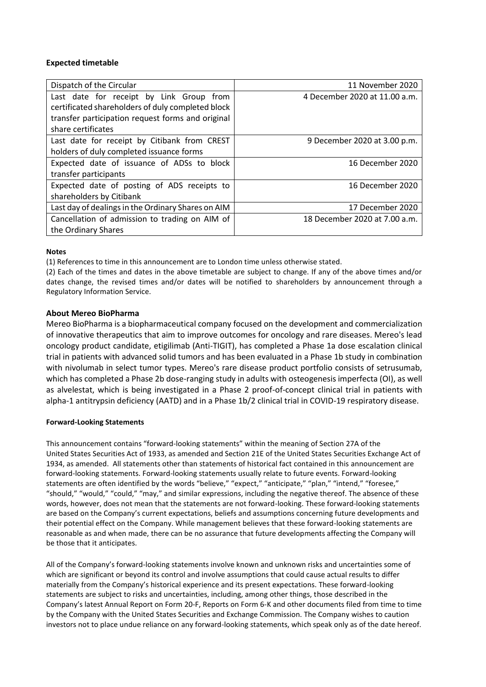#### **Expected timetable**

| Dispatch of the Circular                           | 11 November 2020              |
|----------------------------------------------------|-------------------------------|
| Last date for receipt by Link Group from           | 4 December 2020 at 11.00 a.m. |
| certificated shareholders of duly completed block  |                               |
| transfer participation request forms and original  |                               |
| share certificates                                 |                               |
| Last date for receipt by Citibank from CREST       | 9 December 2020 at 3.00 p.m.  |
| holders of duly completed issuance forms           |                               |
| Expected date of issuance of ADSs to block         | 16 December 2020              |
| transfer participants                              |                               |
| Expected date of posting of ADS receipts to        | 16 December 2020              |
| shareholders by Citibank                           |                               |
| Last day of dealings in the Ordinary Shares on AIM | 17 December 2020              |
| Cancellation of admission to trading on AIM of     | 18 December 2020 at 7.00 a.m. |
| the Ordinary Shares                                |                               |

#### **Notes**

(1) References to time in this announcement are to London time unless otherwise stated.

(2) Each of the times and dates in the above timetable are subject to change. If any of the above times and/or dates change, the revised times and/or dates will be notified to shareholders by announcement through a Regulatory Information Service.

#### **About Mereo BioPharma**

[Mereo BioPharma](https://www.mereobiopharma.com/) is a biopharmaceutical company focused on the development and commercialization of innovative therapeutics that aim to improve outcomes for oncology and rare diseases. Mereo's lead oncology product candidate, etigilimab (Anti-TIGIT), has completed a Phase 1a dose escalation clinical trial in patients with advanced solid tumors and has been evaluated in a Phase 1b study in combination with nivolumab in select tumor types. Mereo's rare disease product portfolio consists of setrusumab, which has completed a Phase 2b dose-ranging study in adults with osteogenesis imperfecta (OI), as well as alvelestat, which is being investigated in a Phase 2 proof-of-concept clinical trial in patients with alpha-1 antitrypsin deficiency (AATD) and in a Phase 1b/2 clinical trial in COVID-19 respiratory disease.

#### **Forward-Looking Statements**

This announcement contains "forward-looking statements" within the meaning of Section 27A of the United States Securities Act of 1933, as amended and Section 21E of the United States Securities Exchange Act of 1934, as amended. All statements other than statements of historical fact contained in this announcement are forward-looking statements. Forward-looking statements usually relate to future events. Forward-looking statements are often identified by the words "believe," "expect," "anticipate," "plan," "intend," "foresee," "should," "would," "could," "may," and similar expressions, including the negative thereof. The absence of these words, however, does not mean that the statements are not forward-looking. These forward-looking statements are based on the Company's current expectations, beliefs and assumptions concerning future developments and their potential effect on the Company. While management believes that these forward-looking statements are reasonable as and when made, there can be no assurance that future developments affecting the Company will be those that it anticipates.

All of the Company's forward-looking statements involve known and unknown risks and uncertainties some of which are significant or beyond its control and involve assumptions that could cause actual results to differ materially from the Company's historical experience and its present expectations. These forward-looking statements are subject to risks and uncertainties, including, among other things, those described in the Company's latest Annual Report on Form 20-F, Reports on Form 6-K and other documents filed from time to time by the Company with the United States Securities and Exchange Commission. The Company wishes to caution investors not to place undue reliance on any forward-looking statements, which speak only as of the date hereof.